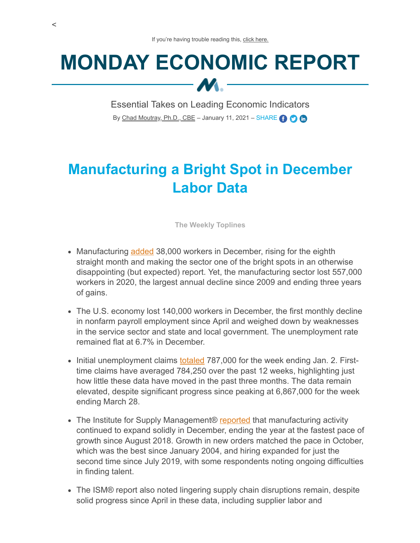## **MONDAY ECONOMIC REPORT**  $M -$

Essential Takes on Leading Economic Indicators By [Chad Moutray, Ph.D., CBE](mailto:cmoutray@nam.org) - January 11, 2021 - SHARE **(1)** 

## **Manufacturing a Bright Spot in December Labor Data**

**The Weekly Toplines**

- Manufacturing [added](https://www.bls.gov/news.release/pdf/empsit.pdf) 38,000 workers in December, rising for the eighth straight month and making the sector one of the bright spots in an otherwise disappointing (but expected) report. Yet, the manufacturing sector lost 557,000 workers in 2020, the largest annual decline since 2009 and ending three years of gains.
- The U.S. economy lost 140,000 workers in December, the first monthly decline in nonfarm payroll employment since April and weighed down by weaknesses in the service sector and state and local government. The unemployment rate remained flat at 6.7% in December.
- Initial unemployment claims [totaled](https://www.dol.gov/ui/data.pdf) 787,000 for the week ending Jan. 2. Firsttime claims have averaged 784,250 over the past 12 weeks, highlighting just how little these data have moved in the past three months. The data remain elevated, despite significant progress since peaking at 6,867,000 for the week ending March 28.
- The Institute for Supply Management® [reported](https://www.ismworld.org/supply-management-news-and-reports/reports/ism-report-on-business/pmi/december/) that manufacturing activity continued to expand solidly in December, ending the year at the fastest pace of growth since August 2018. Growth in new orders matched the pace in October, which was the best since January 2004, and hiring expanded for just the second time since July 2019, with some respondents noting ongoing difficulties in finding talent.
- The ISM® report also noted lingering supply chain disruptions remain, despite solid progress since April in these data, including supplier labor and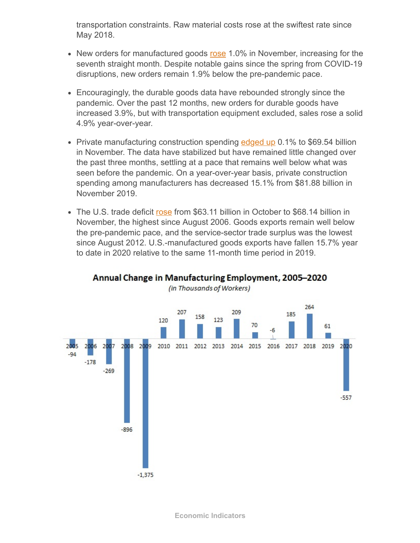transportation constraints. Raw material costs rose at the swiftest rate since May 2018.

- New orders for manufactured goods [rose](https://www.census.gov/manufacturing/m3/prel/pdf/s-i-o.pdf?) 1.0% in November, increasing for the seventh straight month. Despite notable gains since the spring from COVID-19 disruptions, new orders remain 1.9% below the pre-pandemic pace.
- Encouragingly, the durable goods data have rebounded strongly since the pandemic. Over the past 12 months, new orders for durable goods have increased 3.9%, but with transportation equipment excluded, sales rose a solid 4.9% year-over-year.
- Private manufacturing construction spending  $edged$  up 0.1% to \$69.54 billion in November. The data have stabilized but have remained little changed over the past three months, settling at a pace that remains well below what was seen before the pandemic. On a year-over-year basis, private construction spending among manufacturers has decreased 15.1% from \$81.88 billion in November 2019.
- The U.S. trade deficit [rose](https://www.census.gov/foreign-trade/Press-Release/current_press_release/ft900.pdf) from \$63.11 billion in October to \$68.14 billion in November, the highest since August 2006. Goods exports remain well below the pre-pandemic pace, and the service-sector trade surplus was the lowest since August 2012. U.S.-manufactured goods exports have fallen 15.7% year to date in 2020 relative to the same 11-month time period in 2019.



## Annual Change in Manufacturing Employment, 2005-2020 (in Thousands of Workers)

**Economic Indicators**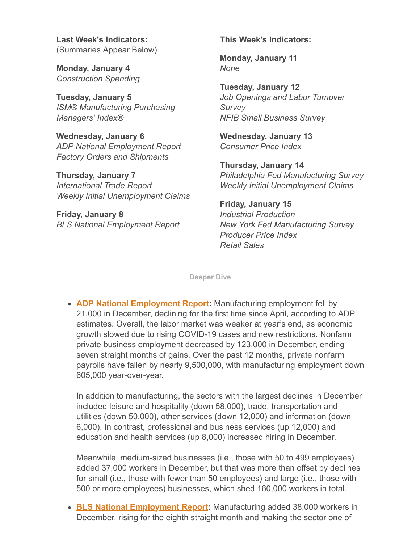**Last Week's Indicators:** (Summaries Appear Below)

**Monday, January 4** *Construction Spending*

**Tuesday, January 5** *ISM® Manufacturing Purchasing Managers' Index®*

**Wednesday, January 6** *ADP National Employment Report Factory Orders and Shipments*

**Thursday, January 7** *International Trade Report Weekly Initial Unemployment Claims*

**Friday, January 8** *BLS National Employment Report* **This Week's Indicators:**

**Monday, January 11** *None*

**Tuesday, January 12** *Job Openings and Labor Turnover Survey NFIB Small Business Survey*

**Wednesday, January 13** *Consumer Price Index*

**Thursday, January 14** *Philadelphia Fed Manufacturing Survey Weekly Initial Unemployment Claims*

**Friday, January 15** *Industrial Production New York Fed Manufacturing Survey Producer Price Index Retail Sales*

**Deeper Dive**

**[ADP National Employment Report:](https://adpemploymentreport.com/2020/December/NER/docs/ADP-NATIONAL-EMPLOYMENT-REPORT-December2020-Final-Press-Release.pdf)** Manufacturing employment fell by 21,000 in December, declining for the first time since April, according to ADP estimates. Overall, the labor market was weaker at year's end, as economic growth slowed due to rising COVID-19 cases and new restrictions. Nonfarm private business employment decreased by 123,000 in December, ending seven straight months of gains. Over the past 12 months, private nonfarm payrolls have fallen by nearly 9,500,000, with manufacturing employment down 605,000 year-over-year.

In addition to manufacturing, the sectors with the largest declines in December included leisure and hospitality (down 58,000), trade, transportation and utilities (down 50,000), other services (down 12,000) and information (down 6,000). In contrast, professional and business services (up 12,000) and education and health services (up 8,000) increased hiring in December.

Meanwhile, medium-sized businesses (i.e., those with 50 to 499 employees) added 37,000 workers in December, but that was more than offset by declines for small (i.e., those with fewer than 50 employees) and large (i.e., those with 500 or more employees) businesses, which shed 160,000 workers in total.

**[BLS National Employment Report:](https://www.bls.gov/news.release/pdf/empsit.pdf)** Manufacturing added 38,000 workers in December, rising for the eighth straight month and making the sector one of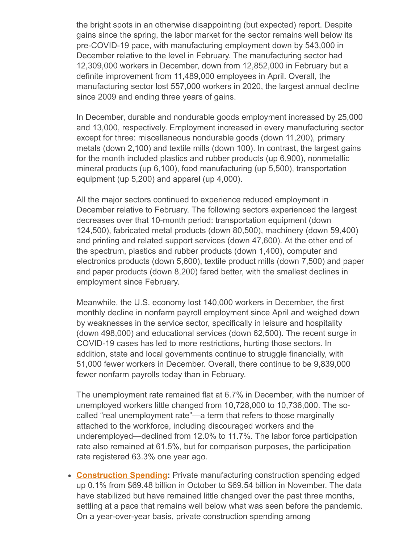the bright spots in an otherwise disappointing (but expected) report. Despite gains since the spring, the labor market for the sector remains well below its pre-COVID-19 pace, with manufacturing employment down by 543,000 in December relative to the level in February. The manufacturing sector had 12,309,000 workers in December, down from 12,852,000 in February but a definite improvement from 11,489,000 employees in April. Overall, the manufacturing sector lost 557,000 workers in 2020, the largest annual decline since 2009 and ending three years of gains.

In December, durable and nondurable goods employment increased by 25,000 and 13,000, respectively. Employment increased in every manufacturing sector except for three: miscellaneous nondurable goods (down 11,200), primary metals (down 2,100) and textile mills (down 100). In contrast, the largest gains for the month included plastics and rubber products (up 6,900), nonmetallic mineral products (up 6,100), food manufacturing (up 5,500), transportation equipment (up 5,200) and apparel (up 4,000).

All the major sectors continued to experience reduced employment in December relative to February. The following sectors experienced the largest decreases over that 10-month period: transportation equipment (down 124,500), fabricated metal products (down 80,500), machinery (down 59,400) and printing and related support services (down 47,600). At the other end of the spectrum, plastics and rubber products (down 1,400), computer and electronics products (down 5,600), textile product mills (down 7,500) and paper and paper products (down 8,200) fared better, with the smallest declines in employment since February.

Meanwhile, the U.S. economy lost 140,000 workers in December, the first monthly decline in nonfarm payroll employment since April and weighed down by weaknesses in the service sector, specifically in leisure and hospitality (down 498,000) and educational services (down 62,500). The recent surge in COVID-19 cases has led to more restrictions, hurting those sectors. In addition, state and local governments continue to struggle financially, with 51,000 fewer workers in December. Overall, there continue to be 9,839,000 fewer nonfarm payrolls today than in February.

The unemployment rate remained flat at 6.7% in December, with the number of unemployed workers little changed from 10,728,000 to 10,736,000. The socalled "real unemployment rate"—a term that refers to those marginally attached to the workforce, including discouraged workers and the underemployed—declined from 12.0% to 11.7%. The labor force participation rate also remained at 61.5%, but for comparison purposes, the participation rate registered 63.3% one year ago.

**[Construction Spending](https://www.census.gov/construction/c30/pdf/release.pdf):** Private manufacturing construction spending edged up 0.1% from \$69.48 billion in October to \$69.54 billion in November. The data have stabilized but have remained little changed over the past three months, settling at a pace that remains well below what was seen before the pandemic. On a year-over-year basis, private construction spending among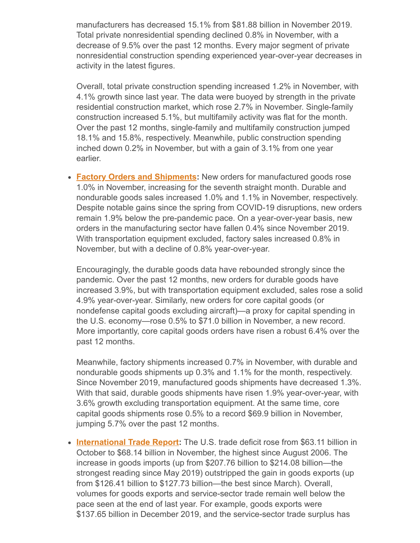manufacturers has decreased 15.1% from \$81.88 billion in November 2019. Total private nonresidential spending declined 0.8% in November, with a decrease of 9.5% over the past 12 months. Every major segment of private nonresidential construction spending experienced year-over-year decreases in activity in the latest figures.

Overall, total private construction spending increased 1.2% in November, with 4.1% growth since last year. The data were buoyed by strength in the private residential construction market, which rose 2.7% in November. Single-family construction increased 5.1%, but multifamily activity was flat for the month. Over the past 12 months, single-family and multifamily construction jumped 18.1% and 15.8%, respectively. Meanwhile, public construction spending inched down 0.2% in November, but with a gain of 3.1% from one year earlier.

**[Factory Orders and Shipments:](https://www.census.gov/manufacturing/m3/prel/pdf/s-i-o.pdf?)** New orders for manufactured goods rose 1.0% in November, increasing for the seventh straight month. Durable and nondurable goods sales increased 1.0% and 1.1% in November, respectively. Despite notable gains since the spring from COVID-19 disruptions, new orders remain 1.9% below the pre-pandemic pace. On a year-over-year basis, new orders in the manufacturing sector have fallen 0.4% since November 2019. With transportation equipment excluded, factory sales increased 0.8% in November, but with a decline of 0.8% year-over-year.

Encouragingly, the durable goods data have rebounded strongly since the pandemic. Over the past 12 months, new orders for durable goods have increased 3.9%, but with transportation equipment excluded, sales rose a solid 4.9% year-over-year. Similarly, new orders for core capital goods (or nondefense capital goods excluding aircraft)—a proxy for capital spending in the U.S. economy—rose 0.5% to \$71.0 billion in November, a new record. More importantly, core capital goods orders have risen a robust 6.4% over the past 12 months.

Meanwhile, factory shipments increased 0.7% in November, with durable and nondurable goods shipments up 0.3% and 1.1% for the month, respectively. Since November 2019, manufactured goods shipments have decreased 1.3%. With that said, durable goods shipments have risen 1.9% year-over-year, with 3.6% growth excluding transportation equipment. At the same time, core capital goods shipments rose 0.5% to a record \$69.9 billion in November, jumping 5.7% over the past 12 months.

• **[International Trade Report:](https://www.census.gov/foreign-trade/Press-Release/current_press_release/ft900.pdf)** The U.S. trade deficit rose from \$63.11 billion in October to \$68.14 billion in November, the highest since August 2006. The increase in goods imports (up from \$207.76 billion to \$214.08 billion—the strongest reading since May 2019) outstripped the gain in goods exports (up from \$126.41 billion to \$127.73 billion—the best since March). Overall, volumes for goods exports and service-sector trade remain well below the pace seen at the end of last year. For example, goods exports were \$137.65 billion in December 2019, and the service-sector trade surplus has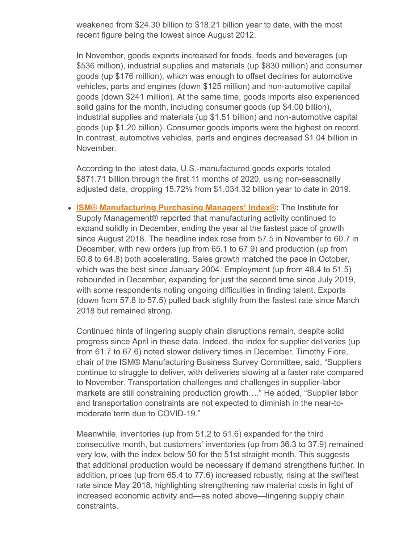weakened from \$24.30 billion to \$18.21 billion year to date, with the most recent figure being the lowest since August 2012.

In November, goods exports increased for foods, feeds and beverages (up \$536 million), industrial supplies and materials (up \$830 million) and consumer goods (up \$176 million), which was enough to offset declines for automotive vehicles, parts and engines (down \$125 million) and non-automotive capital goods (down \$241 million). At the same time, goods imports also experienced solid gains for the month, including consumer goods (up \$4.00 billion), industrial supplies and materials (up \$1.51 billion) and non-automotive capital goods (up \$1.20 billion). Consumer goods imports were the highest on record. In contrast, automotive vehicles, parts and engines decreased \$1.04 billion in November.

According to the latest data, U.S.-manufactured goods exports totaled \$871.71 billion through the first 11 months of 2020, using non-seasonally adjusted data, dropping 15.72% from \$1,034.32 billion year to date in 2019.

**[ISM® Manufacturing Purchasing Managers' Index®:](https://www.ismworld.org/supply-management-news-and-reports/reports/ism-report-on-business/pmi/december/)** The Institute for Supply Management® reported that manufacturing activity continued to expand solidly in December, ending the year at the fastest pace of growth since August 2018. The headline index rose from 57.5 in November to 60.7 in December, with new orders (up from 65.1 to 67.9) and production (up from 60.8 to 64.8) both accelerating. Sales growth matched the pace in October, which was the best since January 2004. Employment (up from 48.4 to 51.5) rebounded in December, expanding for just the second time since July 2019, with some respondents noting ongoing difficulties in finding talent. Exports (down from 57.8 to 57.5) pulled back slightly from the fastest rate since March 2018 but remained strong.

Continued hints of lingering supply chain disruptions remain, despite solid progress since April in these data. Indeed, the index for supplier deliveries (up from 61.7 to 67.6) noted slower delivery times in December. Timothy Fiore, chair of the ISM® Manufacturing Business Survey Committee, said, "Suppliers continue to struggle to deliver, with deliveries slowing at a faster rate compared to November. Transportation challenges and challenges in supplier-labor markets are still constraining production growth…." He added, "Supplier labor and transportation constraints are not expected to diminish in the near-tomoderate term due to COVID-19."

Meanwhile, inventories (up from 51.2 to 51.6) expanded for the third consecutive month, but customers' inventories (up from 36.3 to 37.9) remained very low, with the index below 50 for the 51st straight month. This suggests that additional production would be necessary if demand strengthens further. In addition, prices (up from 65.4 to 77.6) increased robustly, rising at the swiftest rate since May 2018, highlighting strengthening raw material costs in light of increased economic activity and—as noted above—lingering supply chain constraints.